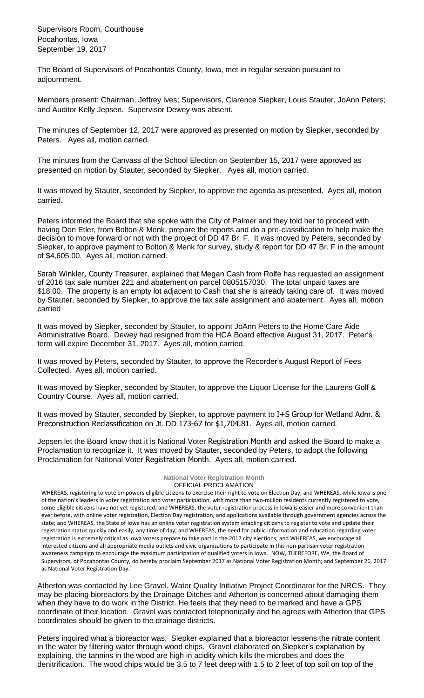Supervisors Room, Courthouse Pocahontas, Iowa September 19, 2017

The Board of Supervisors of Pocahontas County, Iowa, met in regular session pursuant to adjournment.

Members present: Chairman, Jeffrey Ives; Supervisors, Clarence Siepker, Louis Stauter, JoAnn Peters; and Auditor Kelly Jepsen. Supervisor Dewey was absent.

The minutes of September 12, 2017 were approved as presented on motion by Siepker, seconded by Peters. Ayes all, motion carried.

The minutes from the Canvass of the School Election on September 15, 2017 were approved as presented on motion by Stauter, seconded by Siepker. Ayes all, motion carried.

It was moved by Stauter, seconded by Siepker, to approve the agenda as presented. Ayes all, motion carried.

Peters informed the Board that she spoke with the City of Palmer and they told her to proceed with having Don Etler, from Bolton & Menk, prepare the reports and do a pre-classification to help make the decision to move forward or not with the project of DD 47 Br. F. It was moved by Peters, seconded by Siepker, to approve payment to Bolton & Menk for survey, study & report for DD 47 Br. F in the amount of \$4,605.00. Ayes all, motion carried.

Sarah Winkler, County Treasurer, explained that Megan Cash from Rolfe has requested an assignment of 2016 tax sale number 221 and abatement on parcel 0805157030. The total unpaid taxes are \$18.00. The property is an empty lot adjacent to Cash that she is already taking care of. It was moved by Stauter, seconded by Siepker, to approve the tax sale assignment and abatement. Ayes all, motion carried

It was moved by Siepker, seconded by Stauter, to appoint JoAnn Peters to the Home Care Aide Administrative Board. Dewey had resigned from the HCA Board effective August 31, 2017. Peter's term will expire December 31, 2017. Ayes all, motion carried.

It was moved by Peters, seconded by Stauter, to approve the Recorder's August Report of Fees Collected. Ayes all, motion carried.

It was moved by Siepker, seconded by Stauter, to approve the Liquor License for the Laurens Golf & Country Course. Ayes all, motion carried.

It was moved by Stauter, seconded by Siepker, to approve payment to I+S Group for Wetland Adm. & Preconstruction Reclassification on Jt. DD 173-67 for \$1,704.81. Ayes all, motion carried.

Jepsen let the Board know that it is National Voter Registration Month and asked the Board to make a Proclamation to recognize it. It was moved by Stauter, seconded by Peters, to adopt the following Proclamation for National Voter Registration Month. Ayes all, motion carried.

## **National Voter Registration Month** OFFICIAL PROCLAMATION

WHEREAS, registering to vote empowers eligible citizens to exercise their right to vote on Election Day; and WHEREAS, while Iowa is one of the nation's leaders in voter registration and voter participation, with more than two-million residents currently registered to vote, some eligible citizens have not yet registered; and WHEREAS, the voter registration process in Iowa is easier and more convenient than ever before, with online voter registration, Election Day registration, and applications available through government agencies across the state; and WHEREAS, the State of Iowa has an online voter registration system enabling citizens to register to vote and update their registration status quickly and easily, any time of day; and WHEREAS, the need for public information and education regarding voter registration is extremely critical as Iowa voters prepare to take part in the 2017 city elections; and WHEREAS, we encourage all interested citizens and all appropriate media outlets and civic organizations to participate in this non-partisan voter registration awareness campaign to encourage the maximum participation of qualified voters in Iowa. NOW, THEREFORE, We, the Board of Supervisors, of Pocahontas County, do hereby proclaim September 2017 as National Voter Registration Month; and September 26, 2017 as National Voter Registration Day.

Atherton was contacted by Lee Gravel, Water Quality Initiative Project Coordinator for the NRCS. They may be placing bioreactors by the Drainage Ditches and Atherton is concerned about damaging them when they have to do work in the District. He feels that they need to be marked and have a GPS coordinate of their location. Gravel was contacted telephonically and he agrees with Atherton that GPS coordinates should be given to the drainage districts.

Peters inquired what a bioreactor was. Siepker explained that a bioreactor lessens the nitrate content in the water by filtering water through wood chips. Gravel elaborated on Siepker's explanation by explaining, the tannins in the wood are high in acidity which kills the microbes and does the denitrification. The wood chips would be 3.5 to 7 feet deep with 1.5 to 2 feet of top soil on top of the